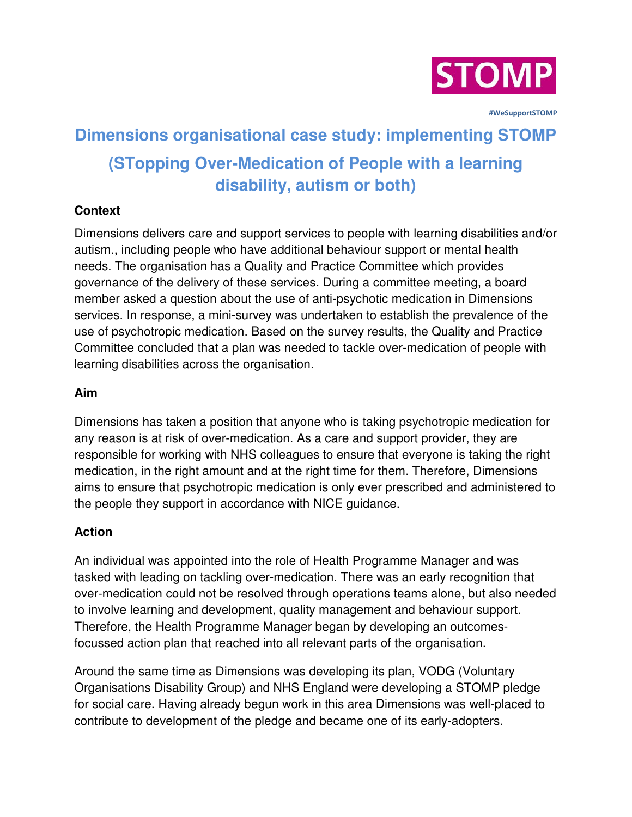

 **#WeSupportSTOMP**

# **Dimensions organisational case study: implementing STOMP (STopping Over-Medication of People with a learning disability, autism or both)**

## **Context**

Dimensions delivers care and support services to people with learning disabilities and/or autism., including people who have additional behaviour support or mental health needs. The organisation has a Quality and Practice Committee which provides governance of the delivery of these services. During a committee meeting, a board member asked a question about the use of anti-psychotic medication in Dimensions services. In response, a mini-survey was undertaken to establish the prevalence of the use of psychotropic medication. Based on the survey results, the Quality and Practice Committee concluded that a plan was needed to tackle over-medication of people with learning disabilities across the organisation.

#### **Aim**

Dimensions has taken a position that anyone who is taking psychotropic medication for any reason is at risk of over-medication. As a care and support provider, they are responsible for working with NHS colleagues to ensure that everyone is taking the right medication, in the right amount and at the right time for them. Therefore, Dimensions aims to ensure that psychotropic medication is only ever prescribed and administered to the people they support in accordance with NICE guidance.

### **Action**

An individual was appointed into the role of Health Programme Manager and was tasked with leading on tackling over-medication. There was an early recognition that over-medication could not be resolved through operations teams alone, but also needed to involve learning and development, quality management and behaviour support. Therefore, the Health Programme Manager began by developing an outcomesfocussed action plan that reached into all relevant parts of the organisation.

Around the same time as Dimensions was developing its plan, VODG (Voluntary Organisations Disability Group) and NHS England were developing a STOMP pledge for social care. Having already begun work in this area Dimensions was well-placed to contribute to development of the pledge and became one of its early-adopters.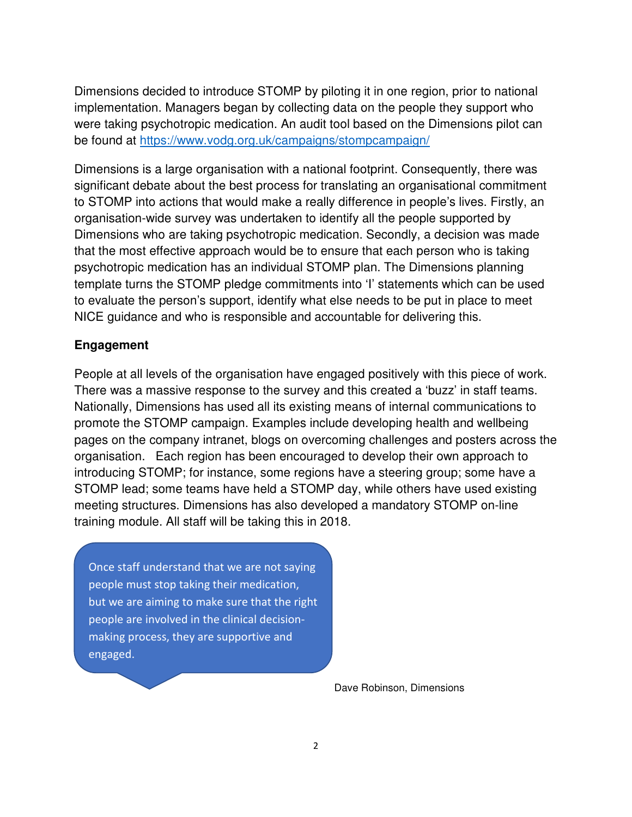Dimensions decided to introduce STOMP by piloting it in one region, prior to national implementation. Managers began by collecting data on the people they support who were taking psychotropic medication. An audit tool based on the Dimensions pilot can be found at<https://www.vodg.org.uk/campaigns/stompcampaign/>

Dimensions is a large organisation with a national footprint. Consequently, there was significant debate about the best process for translating an organisational commitment to STOMP into actions that would make a really difference in people's lives. Firstly, an organisation-wide survey was undertaken to identify all the people supported by Dimensions who are taking psychotropic medication. Secondly, a decision was made that the most effective approach would be to ensure that each person who is taking psychotropic medication has an individual STOMP plan. The Dimensions planning template turns the STOMP pledge commitments into 'I' statements which can be used to evaluate the person's support, identify what else needs to be put in place to meet NICE guidance and who is responsible and accountable for delivering this.

#### **Engagement**

People at all levels of the organisation have engaged positively with this piece of work. There was a massive response to the survey and this created a 'buzz' in staff teams. Nationally, Dimensions has used all its existing means of internal communications to promote the STOMP campaign. Examples include developing health and wellbeing pages on the company intranet, blogs on overcoming challenges and posters across the organisation. Each region has been encouraged to develop their own approach to introducing STOMP; for instance, some regions have a steering group; some have a STOMP lead; some teams have held a STOMP day, while others have used existing meeting structures. Dimensions has also developed a mandatory STOMP on-line training module. All staff will be taking this in 2018.

Once staff understand that we are not saying people must stop taking their medication, but we are aiming to make sure that the right people are involved in the clinical decisionmaking process, they are supportive and engaged.

Dave Robinson, Dimensions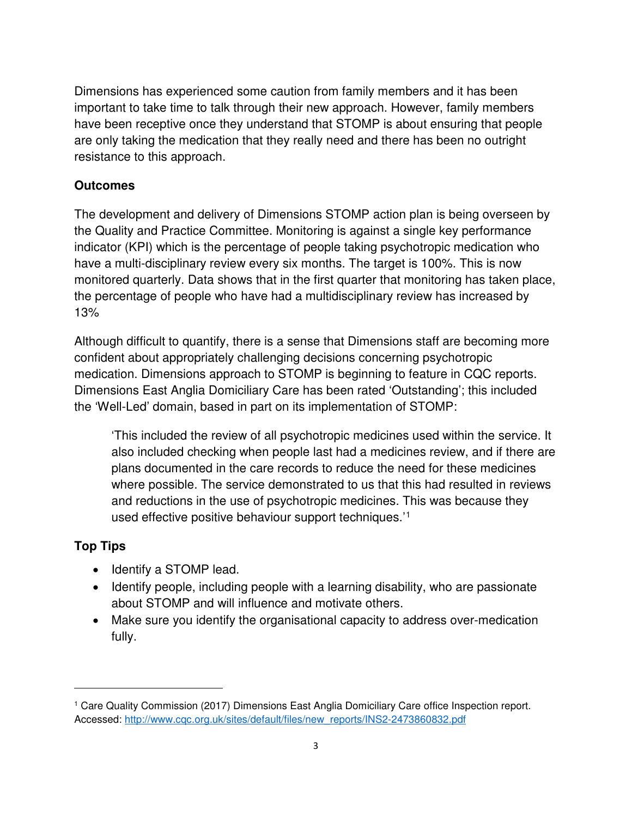Dimensions has experienced some caution from family members and it has been important to take time to talk through their new approach. However, family members have been receptive once they understand that STOMP is about ensuring that people are only taking the medication that they really need and there has been no outright resistance to this approach.

## **Outcomes**

The development and delivery of Dimensions STOMP action plan is being overseen by the Quality and Practice Committee. Monitoring is against a single key performance indicator (KPI) which is the percentage of people taking psychotropic medication who have a multi-disciplinary review every six months. The target is 100%. This is now monitored quarterly. Data shows that in the first quarter that monitoring has taken place, the percentage of people who have had a multidisciplinary review has increased by 13%

Although difficult to quantify, there is a sense that Dimensions staff are becoming more confident about appropriately challenging decisions concerning psychotropic medication. Dimensions approach to STOMP is beginning to feature in CQC reports. Dimensions East Anglia Domiciliary Care has been rated 'Outstanding'; this included the 'Well-Led' domain, based in part on its implementation of STOMP:

'This included the review of all psychotropic medicines used within the service. It also included checking when people last had a medicines review, and if there are plans documented in the care records to reduce the need for these medicines where possible. The service demonstrated to us that this had resulted in reviews and reductions in the use of psychotropic medicines. This was because they used effective positive behaviour support techniques.'[1](#page-2-0)

# **Top Tips**

 $\overline{a}$ 

- Identify a STOMP lead.
- Identify people, including people with a learning disability, who are passionate about STOMP and will influence and motivate others.
- Make sure you identify the organisational capacity to address over-medication fully.

<span id="page-2-0"></span><sup>1</sup> Care Quality Commission (2017) Dimensions East Anglia Domiciliary Care office Inspection report. Accessed: [http://www.cqc.org.uk/sites/default/files/new\\_reports/INS2-2473860832.pdf](http://www.cqc.org.uk/sites/default/files/new_reports/INS2-2473860832.pdf)